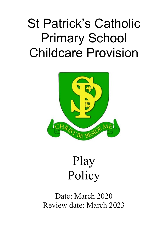# St Patrick's Catholic Primary School Childcare Provision



## Play Policy

Date: March 2020 Review date: March 2023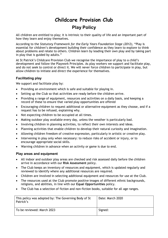### **Childcare Provision Club Play Policy**

All children are entitled to play; it is intrinsic to their quality of life and an important part of how they learn and enjoy themselves.

According to the *Statutory Framework for the Early Years Foundation Stage (2012)*, "Play is essential for children's development building their confidence as they learn to explore to think about problems and relate to others. Children learn by leading their own play and by taking part in play that is guided by adults."

At St Patrick's Childcare Provision Club we recognise the importance of play to a child's development and follow the Playwork Principles. As play workers we support and facilitate play, and do not seek to control or direct it. We will never force children to participate in play, but allow children to initiate and direct the experience for themselves.

### **Facilitating play**

We support and facilitate play by:

- Providing an environment which is safe and suitable for playing in.
- Setting up the Club so that activities are ready before the children arrive.
- Providing a range of equipment, resources and activities on a daily basis, and keeping a record of these to ensure that varied play opportunities are offered
- Encouraging children to request additional or alternative equipment as they choose, and if a request has to be refused, explaining why.
- Not expecting children to be occupied at all times.
- Making outdoor play available every day, unless the weather is particularly bad.
- Involving children in planning activities, to reflect their own interests and ideas.
- Planning activities that enable children to develop their natural curiosity and imagination.
- Allowing children freedom of creative expression, particularly in artistic or creative play.
- Intervening in play only when necessary: to reduce risks of accident or injury, or to encourage appropriate social skills.
- Warning children in advance when an activity or game is due to end.

#### **Play areas and equipment**

- All indoor and outdoor play areas are checked and risk assessed daily before the children arrive in accordance with our **Risk Assessment** policy.
- The Club keeps an inventory of resources and equipment, which is updated regularly and reviewed to identify where any additional resources are required.
- Children are involved in selecting additional equipment and resources for use at the Club.
- The resources used at the Club promote positive images of different ethnic backgrounds, religions, and abilities, in line with our **Equal Opportunities** policy.
- The Club has a selection of fiction and non-fiction books, suitable for all age ranges.

| This policy was adopted by: The Governing Body of St<br>Patrick's | Date: March 2020 |
|-------------------------------------------------------------------|------------------|
| To be reviewed: March 2023                                        | Signed:          |